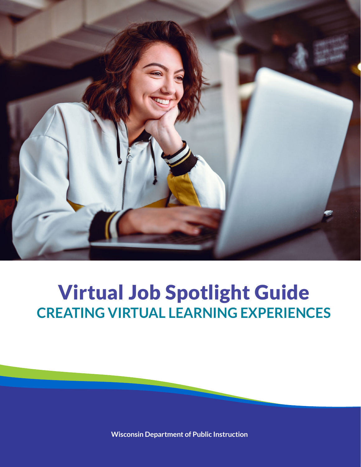

# Virtual Job Spotlight Guide **CREATING VIRTUAL LEARNING EXPERIENCES**

**Wisconsin Department of Public Instruction**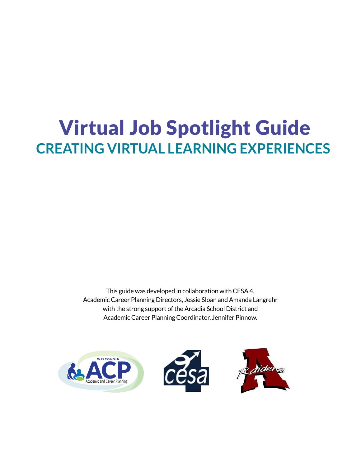# Virtual Job Spotlight Guide **CREATING VIRTUAL LEARNING EXPERIENCES**

This guide was developed in collaboration with CESA 4, Academic Career Planning Directors, Jessie Sloan and Amanda Langrehr with the strong support of the Arcadia School District and Academic Career Planning Coordinator, Jennifer Pinnow.

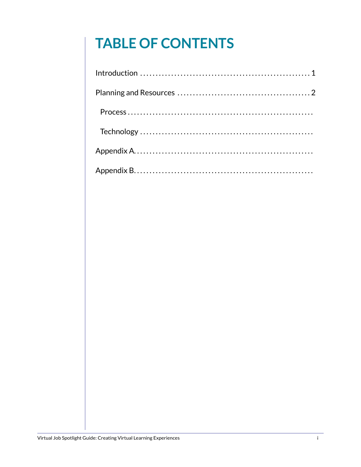# **TABLE OF CONTENTS**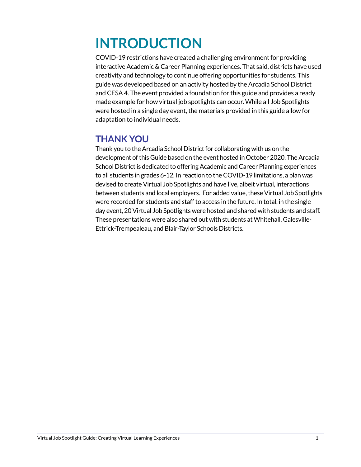# **INTRODUCTION**

COVID-19 restrictions have created a challenging environment for providing interactive Academic & Career Planning experiences. That said, districts have used creativity and technology to continue offering opportunities for students. This guide was developed based on an activity hosted by the Arcadia School District and CESA 4. The event provided a foundation for this guide and provides a ready made example for how virtual job spotlights can occur. While all Job Spotlights were hosted in a single day event, the materials provided in this guide allow for adaptation to individual needs.

## **THANK YOU**

Thank you to the Arcadia School District for collaborating with us on the development of this Guide based on the event hosted in October 2020. The Arcadia School District is dedicated to offering Academic and Career Planning experiences to all students in grades 6-12. In reaction to the COVID-19 limitations, a plan was devised to create Virtual Job Spotlights and have live, albeit virtual, interactions between students and local employers. For added value, these Virtual Job Spotlights were recorded for students and staff to access in the future. In total, in the single day event, 20 Virtual Job Spotlights were hosted and shared with students and staff. These presentations were also shared out with students at Whitehall, Galesville-Ettrick-Trempealeau, and Blair-Taylor Schools Districts.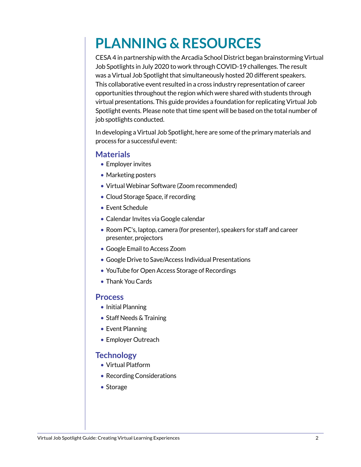# **PLANNING & RESOURCES**

CESA 4 in partnership with the Arcadia School District began brainstorming Virtual Job Spotlights in July 2020 to work through COVID-19 challenges. The result was a Virtual Job Spotlight that simultaneously hosted 20 different speakers. This collaborative event resulted in a cross industry representation of career opportunities throughout the region which were shared with students through virtual presentations. This guide provides a foundation for replicating Virtual Job Spotlight events. Please note that time spent will be based on the total number of job spotlights conducted.

In developing a Virtual Job Spotlight, here are some of the primary materials and process for a successful event:

#### **Materials**

- Employer invites
- Marketing posters
- Virtual Webinar Software (Zoom recommended)
- Cloud Storage Space, if recording
- Event Schedule
- Calendar Invites via Google calendar
- Room PC's, laptop, camera (for presenter), speakers for staff and career presenter, projectors
- Google Email to Access Zoom
- Google Drive to Save/Access Individual Presentations
- You Tube for Open Access Storage of Recordings
- Thank You Cards

#### **Process**

- Initial Planning
- Staff Needs & Training
- Event Planning
- Employer Outreach

#### **Technology**

- Virtual Platform
- Recording Considerations
- Storage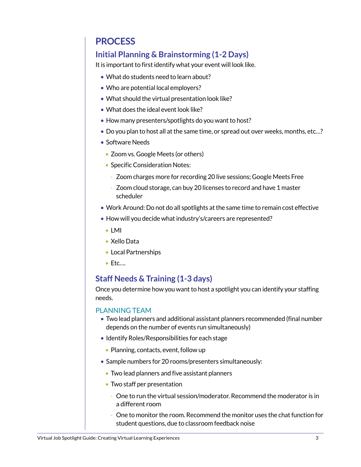## **PROCESS**

## **Initial Planning & Brainstorming (1-2 Days)**

It is important to first identify what your event will look like.

- What do students need to learn about?
- Who are potential local employers?
- What should the virtual presentation look like?
- What does the ideal event look like?
- How many presenters/spotlights do you want to host?
- Do you plan to host all at the same time, or spread out over weeks, months, etc…?
- Software Needs
	- Zoom vs. Google Meets (or others)
	- Specific Consideration Notes:
		- Zoom charges more for recording 20 live sessions; Google Meets Free
		- Zoom cloud storage, can buy 20 licenses to record and have 1 master scheduler
- Work Around: Do not do all spotlights at the same time to remain cost effective
- How will you decide what industry's/careers are represented?
	- LMI
	- Xello Data
	- Local Partnerships
	- Etc….

### **Staff Needs & Training (1-3 days)**

Once you determine how you want to host a spotlight you can identify your staffing needs.

#### PLANNING TEAM

- Two lead planners and additional assistant planners recommended (final number depends on the number of events run simultaneously)
- Identify Roles/Responsibilities for each stage
	- Planning, contacts, event, follow up
- Sample numbers for 20 rooms/presenters simultaneously:
	- Two lead planners and five assistant planners
	- Two staff per presentation
		- One to run the virtual session/moderator. Recommend the moderator is in a different room
		- One to monitor the room. Recommend the monitor uses the chat function for student questions, due to classroom feedback noise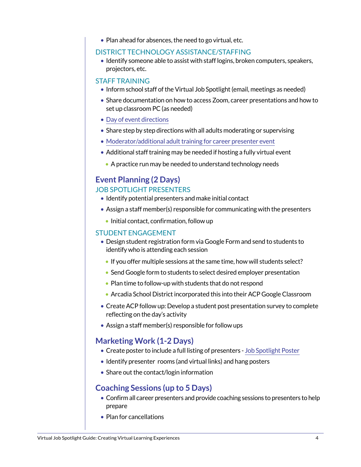• Plan ahead for absences, the need to go virtual, etc.

#### DISTRICT TECHNOLOGY ASSISTANCE/STAFFING

• Identify someone able to assist with staff logins, broken computers, speakers, projectors, etc.

#### STAFF TRAINING

- Inform school staff of the Virtual Job Spotlight (email, meetings as needed)
- Share documentation on how to access Zoom, career presentations and how to set up classroom PC (as needed)
- [Day of event directions](https://docs.google.com/document/d/108FfwN1IF9PJSKILBw21z3yXLBBp_VjFqZj_ZeAmZpo/edit?usp=sharing)
- Share step by step directions with all adults moderating or supervising
- [Moderator/additional adult training for career presenter event](https://docs.google.com/document/d/1HSEjThqzj-MJwtA5zzIJefbmPVZsSDDT8thrW1y3U8s/edit)
- Additional staff training may be needed if hosting a fully virtual event
	- A practice run may be needed to understand technology needs

## **Event Planning (2 Days)** JOB SPOTLIGHT PRESENTERS

- Identify potential presenters and make initial contact
- Assign a staff member(s) responsible for communicating with the presenters
	- Initial contact, confirmation, follow up

#### STUDENT ENGAGEMENT

- Design student registration form via Google Form and send to students to identify who is attending each session
	- If you offer multiple sessions at the same time, how will students select?
	- Send Google form to students to select desired employer presentation
	- Plan time to follow-up with students that do not respond
	- Arcadia School District incorporated this into their ACP Google Classroom
- Create ACP follow up: Develop a student post presentation survey to complete reflecting on the day's activity
- Assign a staff member(s) responsible for follow ups

#### **Marketing Work (1-2 Days)**

- Create poster to include a full listing of presenters [Job Spotlight Poster](https://drive.google.com/file/d/1L8KbzHHXu-xshxx5RGUfymJq1OSFKSm3/view)
- Identify presenter rooms (and virtual links) and hang posters
- Share out the contact/login information

### **Coaching Sessions (up to 5 Days)**

- Confirm all career presenters and provide coaching sessions to presenters to help prepare
- Plan for cancellations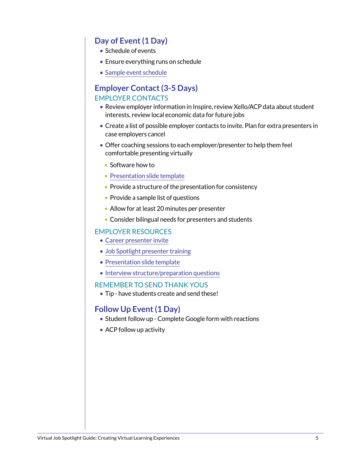### **Day of Event (1 Day)**

- Schedule of events
- Ensure everything runs on schedule
- [Sample event schedule](https://docs.google.com/document/d/1T3A7jJ3sE7_MSM0pJKSSzPUwIf-NwFcfTbEquqzdoUQ/edit)

### **Employer Contact (3-5 Days)** EMPLOYER CONTACTS

- Review employer information in Inspire, review Xello/ACP data about student interests, review local economic data for future jobs
- Create a list of possible employer contacts to invite. Plan for extra presenters in case employers cancel
- Offer coaching sessions to each employer/presenter to help them feel comfortable presenting virtually
	- Software how to
	- [Presentation slide template](https://docs.google.com/presentation/d/1VUlY6pCmExncGph6GOaGPmQfdJJAyPeZo8xDq-OnGwE/edit#slide=id.g9e5228b349_0_226)
	- Provide a structure of the presentation for consistency
	- Provide a sample list of questions
	- Allow for at least 20 minutes per presenter
	- Consider bilingual needs for presenters and students

#### EMPLOYER RESOURCES

- [Career presenter invite](https://docs.google.com/document/d/1NgOV_bWYPawtyfNPkuZinlm0h9U8oc6pBJTF0eO-W0s/edit)
- [Job Spotlight presenter training](https://docs.google.com/document/d/1gK2OPGFnVvn8e2gDaoWMl6H3PHCjtLt5pqDD3iYeqrU/edit)
- [Presentation slide template](https://docs.google.com/presentation/d/1VUlY6pCmExncGph6GOaGPmQfdJJAyPeZo8xDq-OnGwE/edit#slide=id.g9e5228b349_0_226)
- [Interview structure/preparation questions](https://docs.google.com/presentation/d/1tG0bS-lL0MJgXx9Uzh36sucgateX_hDo0VaOPIEDKuM/edit#slide=id.ga26b17183a_0_0)

#### REMEMBER TO SEND THANK YOUS

• Tip - have students create and send these!

#### **Follow Up Event (1 Day)**

- Student follow up Complete Google form with reactions
- ACP follow up activity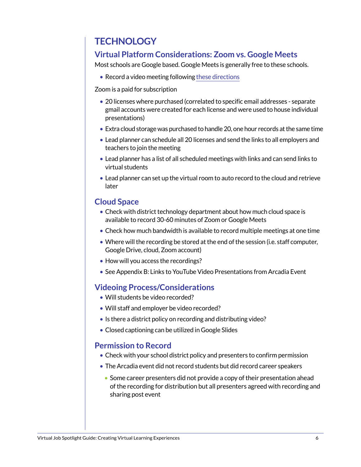## **TECHNOLOGY**

## **Virtual Platform Considerations: Zoom vs. Google Meets**

Most schools are Google based. Google Meets is generally free to these schools.

• Record a video meeting following [these directions](https://support.google.com/a/users/answer/9846751?hl=en)

Zoom is a paid for subscription

- 20 licenses where purchased (correlated to specific email addresses separate gmail accounts were created for each license and were used to house individual presentations)
- Extra cloud storage was purchased to handle 20, one hour records at the same time
- Lead planner can schedule all 20 licenses and send the links to all employers and teachers to join the meeting
- Lead planner has a list of all scheduled meetings with links and can send links to virtual students
- Lead planner can set up the virtual room to auto record to the cloud and retrieve later

### **Cloud Space**

- Check with district technology department about how much cloud space is available to record 30-60 minutes of Zoom or Google Meets
- Check how much bandwidth is available to record multiple meetings at one time
- Where will the recording be stored at the end of the session (i.e. staff computer, Google Drive, cloud, Zoom account)
- How will you access the recordings?
- See Appendix B: Links to YouTube Video Presentations from Arcadia Event

### **Videoing Process/Considerations**

- Will students be video recorded?
- Will staff and employer be video recorded?
- Is there a district policy on recording and distributing video?
- Closed captioning can be utilized in Google Slides

#### **Permission to Record**

- Check with your school district policy and presenters to confirm permission
- The Arcadia event did not record students but did record career speakers
	- Some career presenters did not provide a copy of their presentation ahead of the recording for distribution but all presenters agreed with recording and sharing post event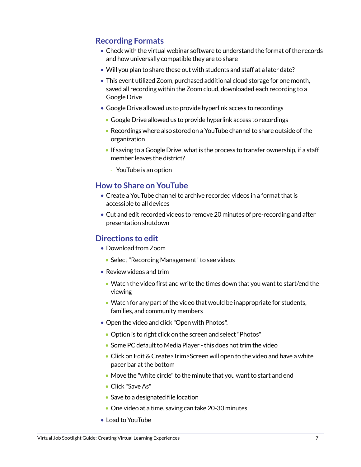### **Recording Formats**

- Check with the virtual webinar software to understand the format of the records and how universally compatible they are to share
- Will you plan to share these out with students and staff at a later date?
- This event utilized Zoom, purchased additional cloud storage for one month, saved all recording within the Zoom cloud, downloaded each recording to a Google Drive
- Google Drive allowed us to provide hyperlink access to recordings
	- Google Drive allowed us to provide hyperlink access to recordings
	- Recordings where also stored on a YouTube channel to share outside of the organization
	- If saving to a Google Drive, what is the process to transfer ownership, if a staff member leaves the district?
		- YouTube is an option

#### **How to Share on YouTube**

- Create a YouTube channel to archive recorded videos in a format that is accessible to all devices
- Cut and edit recorded videos to remove 20 minutes of pre-recording and after presentation shutdown

#### **Directions to edit**

- Download from Zoom
	- Select "Recording Management" to see videos
- Review videos and trim
	- Watch the video first and write the times down that you want to start/end the viewing
	- Watch for any part of the video that would be inappropriate for students, families, and community members
- Open the video and click "Open with Photos".
	- Option is to right click on the screen and select "Photos"
	- Some PC default to Media Player this does not trim the video
	- Click on Edit & Create>Trim>Screen will open to the video and have a white pacer bar at the bottom
	- Move the "white circle" to the minute that you want to start and end
	- Click "Save As"
	- Save to a designated file location
	- One video at a time, saving can take 20-30 minutes
- Load to YouTube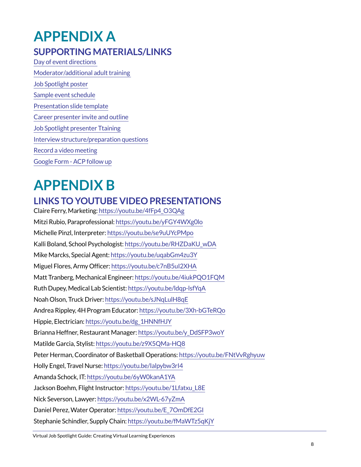## **APPENDIX A SUPPORTING MATERIALS/LINKS**

[Day of event directions](https://docs.google.com/document/d/108FfwN1IF9PJSKILBw21z3yXLBBp_VjFqZj_ZeAmZpo/edit?usp=sharing)  [Moderator/additional adult training](https://docs.google.com/document/d/1HSEjThqzj-MJwtA5zzIJefbmPVZsSDDT8thrW1y3U8s/edit?usp=sharing)  [Job Spotlight poster](https://drive.google.com/file/d/1L8KbzHHXu-xshxx5RGUfymJq1OSFKSm3/view?usp=sharing) [Sample event schedule](https://docs.google.com/document/d/1T3A7jJ3sE7_MSM0pJKSSzPUwIf-NwFcfTbEquqzdoUQ/edit?usp=sharing) [Presentation slide template](https://docs.google.com/presentation/d/1VUlY6pCmExncGph6GOaGPmQfdJJAyPeZo8xDq-OnGwE/edit?usp=sharing) [Career presenter invite and outline](https://docs.google.com/document/d/1NgOV_bWYPawtyfNPkuZinlm0h9U8oc6pBJTF0eO-W0s/edit?usp=sharing) [Job Spotlight presenter Ttaining](https://docs.google.com/document/d/1gK2OPGFnVvn8e2gDaoWMl6H3PHCjtLt5pqDD3iYeqrU/edit?usp=sharing) [Interview structure/preparation questions](https://docs.google.com/presentation/d/1tG0bS-lL0MJgXx9Uzh36sucgateX_hDo0VaOPIEDKuM/edit?usp=sharing) [Record a video meeting](https://support.google.com/a/users/answer/9846751?hl=en) [Google Form - ACP follow up](https://docs.google.com/forms/d/1BSisxAmEU3k4aCxVmMKDUcUbF65OcJ9eJQkG7GiEkt4/copy)

# **APPENDIX B**

## **LINKS TO YOUTUBE VIDEO PRESENTATIONS**

Claire Ferry, Marketing: [https://youtu.be/4fFp4\\_O3QAg]( https://youtu.be/4fFp4_O3QAg) Mitzi Rubio, Paraprofessional:<https://youtu.be/yFGY4WXg0lo> Michelle Pinzl, Interpreter:<https://youtu.be/se9uUYcPMpo> Kalli Boland, School Psychologist: [https://youtu.be/RHZDaKU\\_wDA](https://youtu.be/RHZDaKU_wDA) Mike Marcks, Special Agent:<https://youtu.be/uqabGm4zu3Y> Miguel Flores, Army Officer:<https://youtu.be/c7nB5uI2XHA> Matt Tranberg, Mechanical Engineer: <https://youtu.be/4iukPQO1FQM> Ruth Dupey, Medical Lab Scientist:<https://youtu.be/ldqp-lsfYqA> Noah Olson, Truck Driver:<https://youtu.be/sJNqLulH8qE> Andrea Rippley, 4H Program Educator:<https://youtu.be/3Xh-bGTeRQo> Hippie, Electrician: [https://youtu.be/dg\\_1HNNfHJY](https://youtu.be/dg_1HNNfHJY) Brianna Heffner, Restaurant Manager: [https://youtu.be/y\\_DdSFP3woY](https://youtu.be/y_DdSFP3woY) Matilde Garcia, Stylist: <https://youtu.be/z9X5QMa-HQ8> Peter Herman, Coordinator of Basketball Operations: <https://youtu.be/FNtVvRghyuw> Holly Engel, Travel Nurse:<https://youtu.be/Ialpybw3rI4> Amanda Schock, IT: <https://youtu.be/6yW0kanA1YA> Jackson Boehm, Flight Instructor: [https://youtu.be/1Lfatxu\\_L8E](https://youtu.be/1Lfatxu_L8E) Nick Severson, Lawyer:<https://youtu.be/x2WL-67yZmA> Daniel Perez, Water Operator: [https://youtu.be/E\\_7OmDfE2GI](https://youtu.be/E_7OmDfE2GI) Stephanie Schindler, Supply Chain: <https://youtu.be/fMaWTz5qKjY>